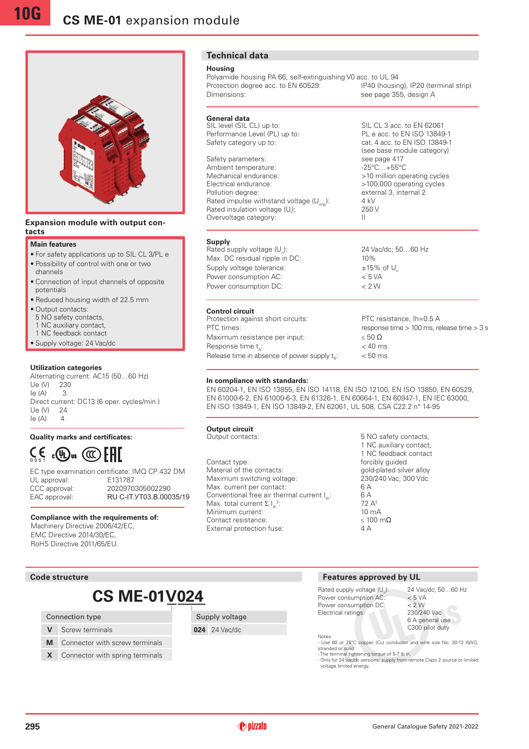

#### **Expansion module with output contacts**

#### **Main features**

- •For safety applications up to SIL CL 3/PL e
- •Possibility of control with one or two channels
- •Connection of input channels of opposite potentials
- •Reduced housing width of 22.5 mm
- •Output contacts:
- 5 NO safety contacts,
- 1 NC auxiliary contact,
- 1 NC feedback contact
- •Supply voltage: 24 Vac/dc

#### **Utilization categories**

Alternating current: AC15 (50…60 Hz) Ue (V) 230  $I \triangleq (A)$  3 Direct current: DC13 (6 oper. cycles/min.) Ue (V) 24  $Ie(A)$  4

## **Quality marks and certificates:**

# $\zeta$ ,  $\zeta$ ,  $\mathbb{Q}$   $\mathbb{Q}$   $\mathbb{H}$

EC type examination certificate: IMQ CP 432 DM UL approval: CCC approval: 2020970305002290 EAC approval: RU C-IT. YT03.B.00035/19

#### **Compliance with the requirements of:**

Machinery Directive 2006/42/EC, EMC Directive 2014/30/EC, RoHS Directive 2011/65/EU.

## **Technical data**

#### **Housing**

**Supply**

Polyamide housing PA 66, self-extinguishing V0 acc. to UL 94<br>Protection degree acc. to EN 60529: [P40 (housing), IP20 (terminal strip) Protection degree acc. to EN 60529: Dimensions: see page 355, design A

## **General data**<br>SIL level (SIL CL) up to:

Performance Level (PL) up to: PL e acc. to EN ISO 13849-1<br>
Safety category up to: ext. 4 acc. to EN ISO 13849-1

Rated supply voltage  $(U_*)$ :

Power consumption AC:

Safety parameters: see page 417<br>Ambient temperature: see page 417<br>-25°C...+55°C Ambient temperature:<br>Mechanical endurance: Electrical endurance:  $>100,000$  operating cycles<br>Pollution degree:  $\qquad \qquad$  external 3. internal 2 Rated impulse withstand voltage  $(U_{i_m})$ : 4 kV Rated insulation voltage (U.): Overvoltage category:

## ): 24 Vac/dc; 50…60 Hz Max. DC residual ripple in DC: 10% Supply voltage tolerance:  $\pm 15\%$  of U<sub>n</sub><br>Power consumption AC:  $\lt$  5 VA Power consumption DC:  $\leq 2 \text{ W}$

SIL CL 3 acc. to EN 62061

cat. 4 acc. to EN ISO 13849-1 (see base module category)<br>see page 417

>10 million operating cycles

external 3, internal 2

): 250 V

**Control circuit** Protection against short circuits: PTC resistance, Ih=0.5 A PTC times: response time > 100 ms, release time > 3 s Maximum resistance per input:  $\leq 50 \Omega$ Response time  $t_{\lambda}$ : Release time in absence of power supply  $t_c$ :

 $< 40$  ms  $< 50$  ms

#### **In compliance with standards:**

EN 60204-1, EN ISO 13855, EN ISO 14118, EN ISO 12100, EN ISO 13850, EN 60529, EN 61000-6-2, EN 61000-6-3, EN 61326-1, EN 60664-1, EN 60947-1, EN IEC 63000, EN ISO 13849-1, EN ISO 13849-2, EN 62061, UL 508, CSA C22.2 n° 14-95

## **Output circuit**<br>Output contacts:

Contact type:  $\qquad \qquad$  forcibly guided Material of the contacts:<br>
Maximum switching voltage:<br>
230/240 Vac; 300 Vdc Maximum switching voltage: Max. current per contact: 6 A<br>Conventional free air thermal current 1: 6 A Conventional free air thermal current  $I_{\ldots}$ : Max. total current  $\Sigma I_{th}^2$ Minimum current:  $\frac{10 \text{ mA}}{500 \text{ mA}}$ Contact resistance: External protection fuse: 4 A

5 NO safety contacts. 1 NC auxiliary contact, 1 NC feedback contact 72 A<sup>2</sup><br>10 mA

## **Code structure**

# **CS ME-01V024**

#### Connection type

- **V** Screw terminals
- **M** Connector with screw terminals
- **X** Connector with spring terminals

Supply voltage

**024** 24 Vac/dc

### **Features approved by UL**

Rated supply voltage  $(U_n)$ : Power consumption AC Power consumption DC:  $\leq 2$  W<br>Electrical ratings: 230/240 Vac Electrical ratings:

24 Vac/dc; 50...60 Hz<br>< 5 VA 6 A general use C300 pilot duty

Notes: - Use 60 or 75°C copper (Cu) conductor and wire size No. 30-12 AWG, stranded or solid. - The terminal tightening torque of 5-7 lb in. - Only for 24 Vac/dc versions: supply from remote Class 2 source or limited

voltage limited energy.

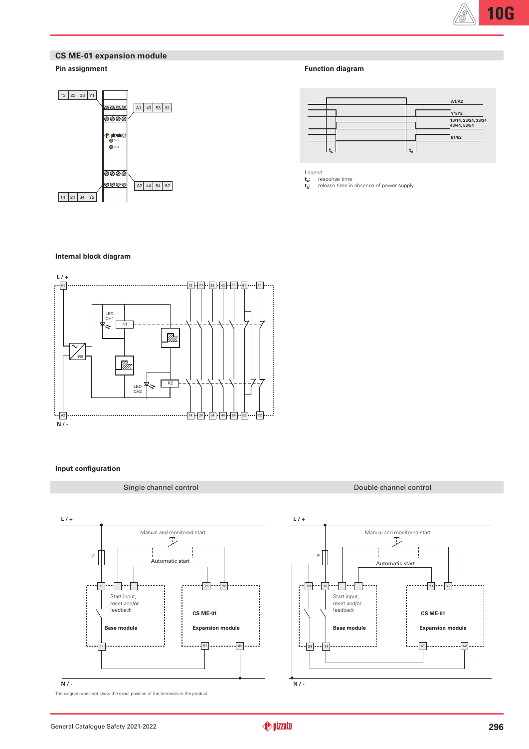## **CS ME-01 expansion module**

## **Pin assignment**



## **Function diagram**

|         |                           | A1/A2                               |
|---------|---------------------------|-------------------------------------|
|         |                           | Y1/Y2                               |
|         |                           | 13/14, 23/24, 33/34<br>43/44, 53/54 |
|         |                           | 61/62                               |
| $L_{A}$ | $\mathbf{t}_{\mathsf{R}}$ |                                     |

Legend: **:** response time

**t A t R :** release time in absence of power supply

#### **Internal block diagram**



#### **Input configuration**

**L / +**

**N / -**

### Single channel control and Double channel control Double channel control



Manual and monitored start Ţ L<br>Automatic start  $Y1$   $Y2$  $-$ A<sub>1</sub> $-$ 14 **|-----------------<sup>1</sup> | |---------------------** A2

General Catalogue Safety 2021-2022

13

F

i.

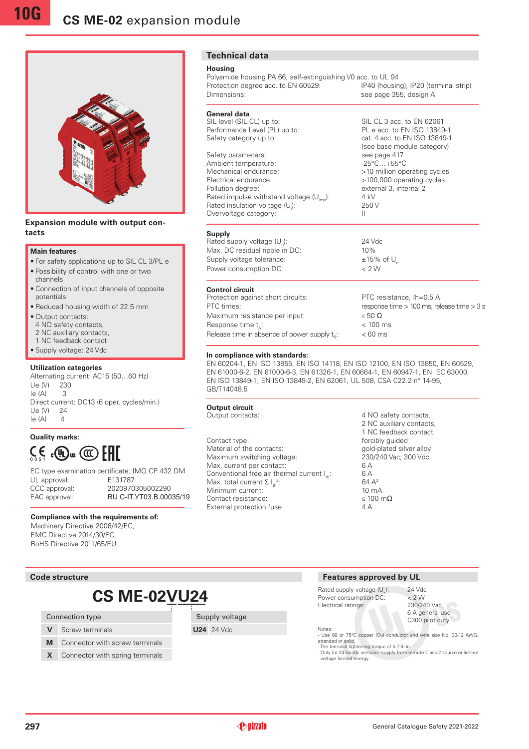

#### **Expansion module with output contacts**

#### **Main features**

- •For safety applications up to SIL CL 3/PL e
- •Possibility of control with one or two channels
- •Connection of input channels of opposite potentials
- •Reduced housing width of 22.5 mm
- •Output contacts:
- 4 NO safety contacts,
- 2 NC auxiliary contacts.
- 1 NC feedback contact
- •Supply voltage: 24 Vdc

## **Utilization categories**

Alternating current: AC15 (50…60 Hz) Ue (V) 230  $Ie(A)$  3 Direct current: DC13 (6 oper. cycles/min.) Ue (V) 24  $Ie(A)$  4

**Quality marks:**  $C \in \mathbb{C}$   $\mathbb{C}$   $\mathbb{C}$   $\mathbb{C}$   $\mathbb{C}$   $\mathbb{C}$   $\mathbb{C}$   $\mathbb{C}$   $\mathbb{C}$   $\mathbb{C}$   $\mathbb{C}$   $\mathbb{C}$   $\mathbb{C}$   $\mathbb{C}$   $\mathbb{C}$   $\mathbb{C}$   $\mathbb{C}$   $\mathbb{C}$   $\mathbb{C}$   $\mathbb{C}$   $\mathbb{C}$   $\mathbb{C}$   $\mathbb{C}$   $\mathbb{C}$   $\$ 

EC type examination certificate: IMQ CP 432 DM UL approval: E131787 CCC approval: 2020970305002290 EAC approval: RU C-IT. YT03.B.00035/19

#### **Compliance with the requirements of:**

Machinery Directive 2006/42/EC, EMC Directive 2014/30/EC, RoHS Directive 2011/65/EU.

#### **Code structure**

# **CS ME-02VU24**

#### Connection type

- **V** Screw terminals
- **M** Connector with screw terminals
- **X** Connector with spring terminals

**Technical data**

#### **Housing**

Polyamide housing PA 66, self-extinguishing V0 acc. to UL 94<br>Protection degree acc. to EN 60529: [P40 (housing), IP20 (terminal strip) Protection degree acc. to EN 60529: Dimensions: see page 355, design A

# **General data**<br>SIL level (SIL CL) up to:

Performance Level (PL) up to: Safety category up to: cat. 4 acc. to EN ISO 13849-1

Safety parameters: see page 417<br>Ambient temperature: see page 417<br>-25°C...+55°C Ambient temperature:<br>Mechanical endurance: Mechanical endurance:  $\frac{10 \text{ million operating cycles}}{100,000 \text{ operating cycles}}$ Electrical endurance:  $>100,000$  operating cycles<br>Pollution degree:  $\frac{1}{2}$  external 3, internal 2 Rated impulse withstand voltage  $(U_{im})$ : 4 kV Rated insulation voltage (U.): Overvoltage category: II

#### **Supply**

Rated supply voltage  $(U_n)$ : Max. DC residual ripple in DC: 10% Supply voltage tolerance:  $\pm 15\%$  of U<sub>n</sub><br>Power consumption DC:  $\lt 2 \text{ W}$ Power consumption DC:

#### **Control circuit**

Protection against short circuits: PTC resistance, Ih=0.5 A PTC times: response time > 100 ms, release time > 3 s Maximum resistance per input:  $\leq 50 \Omega$ Response time  $t_{\lambda}$ : Release time in absence of power supply  $t_{R}$ :

 $< 100$  ms  $< 60$  ms

SIL CL 3 acc. to EN 62061<br>PL e acc. to EN ISO 13849-1

(see base module category)

external 3, internal 2

): 250 V

): 24 Vdc

#### **In compliance with standards:**

EN 60204-1, EN ISO 13855, EN ISO 14118, EN ISO 12100, EN ISO 13850, EN 60529, EN 61000-6-2, EN 61000-6-3, EN 61326-1, EN 60664-1, EN 60947-1, EN IEC 63000, EN ISO 13849-1, EN ISO 13849-2, EN 62061, UL 508, CSA C22.2 n° 14-95, GB/T14048.5

## **Output circuit**<br>Output contacts:

Supply voltage **U24** 24 Vdc

Contact type:  $\qquad \qquad$  forcibly guided Material of the contacts:<br>
Maximum switching voltage:<br>
230/240 Vac; 300 Vdc Maximum switching voltage: Max. current per contact: 6 A Conventional free air thermal current  $I_{t}$ : 6 A Max. total current  $\Sigma I_{th}^2$ Minimum current: Contact resistance:  $\leq 100 \text{ m}\Omega$ External protection fuse: 4 A

4 NO safety contacts, 2 NC auxiliary contacts, 1 NC feedback contact 64  $A^2$ <br>10 m A

#### **Features approved by UL**

Rated supply voltage  $(U)$ : Power consumption DC:  $\leq 2 \text{ W}$ <br>Electrical ratings: 230/240 Vac Electrical ratings:

24 Vdc<br>
< 2 W 6 A general use C300 pilot duty

Notes: - Use 60 or 75°C copper (Cu) conductor and wire size No. 30-12 AWG, stranded or solid. - The terminal tightening torque of 5-7 lb in.

- Only for 24 Vac/dc versions: supply from remote Class 2 source or limited voltage limited energy.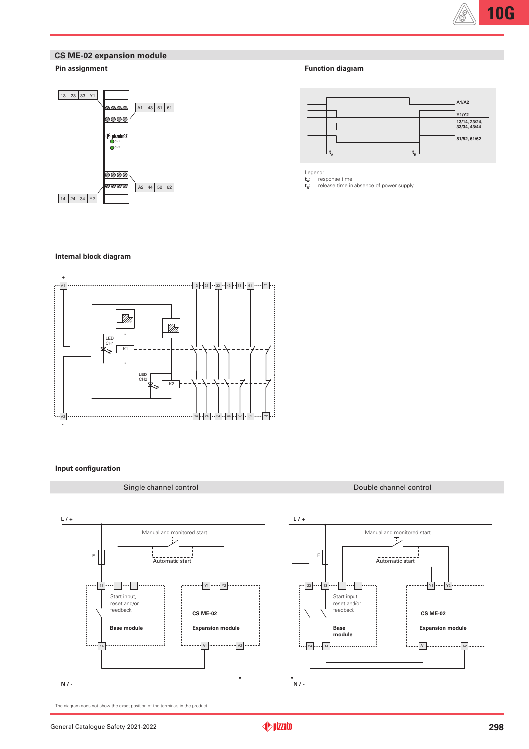## **CS ME-02 expansion module**

## **Pin assignment**



## **Function diagram**

|  |                      | A1/A2                         |
|--|----------------------|-------------------------------|
|  |                      | <b>Y1/Y2</b>                  |
|  |                      | 13/14, 23/24,<br>33/34, 43/44 |
|  |                      |                               |
|  |                      | 51/52, 61/62                  |
|  | $\mathbf{t}_{\rm R}$ |                               |

Legend:

**t A t R :** response time **:** release time in absence of power supply

#### **Internal block diagram**



## **Input configuration**



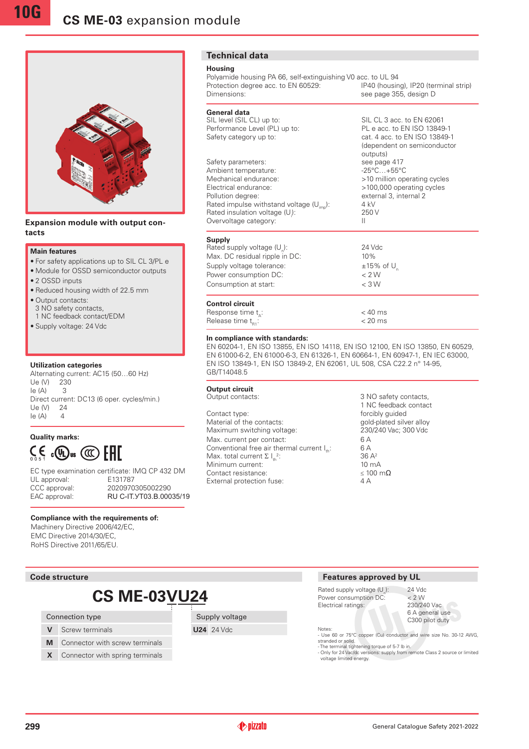

#### **Expansion module with output contacts**

#### **Main features**

**10G**

- •For safety applications up to SIL CL 3/PL e
- •Module for OSSD semiconductor outputs
- 2 OSSD inputs
- •Reduced housing width of 22.5 mm
- Output contacts: 3 NO safety contacts,
- 1 NC feedback contact/EDM
- •Supply voltage: 24 Vdc

#### **Utilization categories**

Alternating current: AC15 (50…60 Hz) Ue (V) 230  $le (A)$  3 Direct current: DC13 (6 oper. cycles/min.)  $| \ln (N) 24$  $Ie(A)$  4

**Quality marks:**  $C \in \mathbb{C}$  and  $C$  and  $C$  and  $C$ 

|               | EC type examination certificate: IMQ CP 432 DM |
|---------------|------------------------------------------------|
| UL approval:  | E131787                                        |
| CCC approval: | 2020970305002290                               |
| EAC approval: | RU C-IT. YT03.B.00035/19                       |
|               |                                                |

#### **Compliance with the requirements of:**

Machinery Directive 2006/42/EC, EMC Directive 2014/30/EC, RoHS Directive 2011/65/EU.

### **Code structure**

# **CS ME-03VU24**

#### Connection type

- **V** Screw terminals
- **M** Connector with screw terminals
- **X** Connector with spring terminals

## **Technical data**

#### **Housing**

Polyamide housing PA 66, self-extinguishing V0 acc. to UL 94<br>Protection degree acc. to EN 60529: [P40 (housing), IP20 (terminal strip) Protection degree acc. to EN 60529: Dimensions: see page 355, design D

SIL CL 3 acc. to EN 62061

outputs)

): 250 V

 $< 40$  ms

(dependent on semiconductor

## **General data**<br>SIL level (SIL CL) up to:

Performance Level (PL) up to: PL e acc. to EN ISO 13849-1 Safety category up to: cat. 4 acc. to EN ISO 13849-1

Safety parameters: see page 417 Ambient temperature:  $-25^{\circ}$ C...+55°C Mechanical endurance:  $>10$  million operating cycles Electrical endurance:  $>100,000$  operating cycles Pollution degree: external 3, internal 2 Rated impulse withstand voltage  $(U_{im})$ : 4 kV Rated insulation voltage (U): Overvoltage category:

#### **Supply**

Rated supply voltage  $(U_n)$ : 24 Vdc Max. DC residual ripple in DC: 10% Supply voltage tolerance:  $\pm 15\%$  of U<sub>n</sub><br>Power consumption DC:  $\lt 2 \text{ W}$ Power consumption DC: Consumption at start: < 3 W

#### **Control circuit** Response time t.:

# Release time  $t_{R1}$ :  $\sim$  20 ms

**In compliance with standards:** EN 60204-1, EN ISO 13855, EN ISO 14118, EN ISO 12100, EN ISO 13850, EN 60529, EN 61000-6-2, EN 61000-6-3, EN 61326-1, EN 60664-1, EN 60947-1, EN IEC 63000, EN ISO 13849-1, EN ISO 13849-2, EN 62061, UL 508, CSA C22.2 n° 14-95, GB/T14048.5

## **Output circuit**<br>Output contacts:

Contact type:  $\frac{1}{2}$  forcibly guided<br>
Material of the contacts:  $\frac{1}{2}$  gold-plated silver alloy Material of the contacts: Maximum switching voltage: 230/240 Vac; 300 Vdc Max. current per contact: 6 A<br>Conventional free air thermal current l : 6 A Conventional free air thermal current  $I_{\text{th}}$ : Max. total current  $\Sigma I_{th}^2$ Minimum current:  $\frac{10 \text{ mA}}{500 \text{ A}}$  10 mA Contact resistance:  $\leq 10$ <br>External protection fuse:  $\leq 10$ External protection fuse:

3 NO safety contacts, 1 NC feedback contact  $36 A<sup>2</sup>$ <br>10 mA

#### **Features approved by UL**

Rated supply voltage (U): Power consumption DC:  $\leq 2$  W<br>Electrical ratings: 230/240 Vac Electrical ratings:

): 24 Vdc 6 A general use C300 pilot duty

Notes: - Use 60 or 75°C copper (Cu) conductor and wire size No. 30-12 AWG,

stranded or solid. - The terminal tightening torque of 5-7 lb in.

- Only for 24 Vac/dc versions: supply from remote Class 2 source or limited voltage limited energy.



Supply voltage **U24** 24 Vdc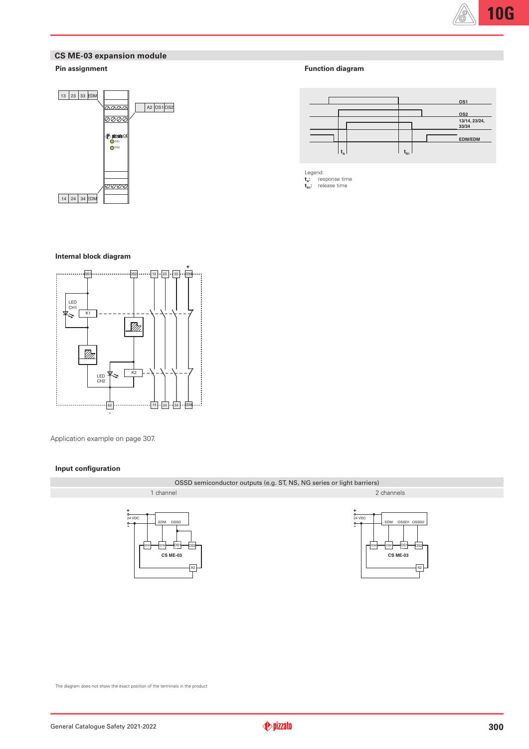

## **CS ME-03 expansion module**

## **Pin assignment**



### **Function diagram**



Legend: **t A :** response time **t R1:** release time

#### **Internal block diagram**



Application example on page 307.

### **Input configuration**

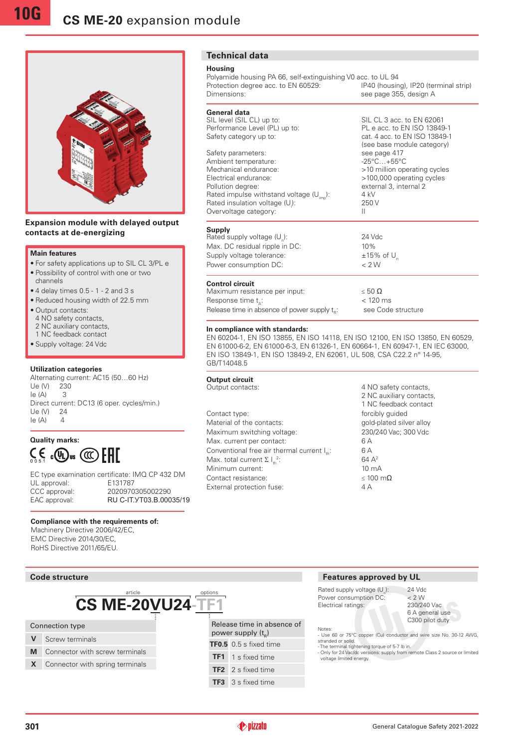

### **Expansion module with delayed output contacts at de-energizing**

#### **Main features**

- •For safety applications up to SIL CL 3/PL e
- •Possibility of control with one or two
- channels
- $\bullet$  4 delay times 0.5 1 2 and 3 s
- •Reduced housing width of 22.5 mm
- Output contacts:
- 4 NO safety contacts,
- 2 NC auxiliary contacts,
- 1 NC feedback contact
- •Supply voltage: 24 Vdc

#### **Utilization categories**

Alternating current: AC15 (50…60 Hz) Ue (V) 230 Ie (A) 3 Direct current: DC13 (6 oper. cycles/min.) Ue (V) 24  $Ie(A)$  4

## **Quality marks:**  $\zeta \in C$  and  $\mathbb{C}$  and  $\mathbb{H}$  and  $\zeta$

EC type examination certificate: IMQ CP 432 DM<br>
III approval: F131787 UL approval: CCC approval: 2020970305002290 EAC approval: RU C-IT. YT03.B.00035/19

#### **Compliance with the requirements of:**

Machinery Directive 2006/42/EC, EMC Directive 2014/30/EC, RoHS Directive 2011/65/EU.

| <b>Technical data</b> |  |
|-----------------------|--|
|                       |  |

#### **Housing**

Polyamide housing PA 66, self-extinguishing V0 acc. to UL 94<br>Protection degree acc. to EN 60529: [P40 (housing), IP20 (terminal strip) Protection degree acc. to EN 60529: Dimensions: See page 355, design A

# **General data**<br>SIL level (SIL CL) up to:

Performance Level (PL) up to: Safety category up to: cat. 4 acc. to EN ISO 13849-1

Safety parameters: Ambient temperature:  $-25^{\circ}$ C...+55°C<br>Mechanical endurance:  $>10$  million op Mechanical endurance:  $\frac{10}{2}$  >10 million operating cycles<br>Electrical endurance:  $\frac{100,000}{2}$  >100,000 operating cycles Pollution degree: external 3, internal 2 Rated impulse withstand voltage  $(U_{i,j})$ : 4 kV Rated insulation voltage (U.): Overvoltage category: II

#### **Supply**

Rated supply voltage  $(U_n)$ : ): 24 Vdc Max. DC residual ripple in DC: 10% Supply voltage tolerance:  $\pm 15\%$  of U<sub>n</sub><br>Power consumption DC:  $\lt 2 \text{ W}$ Power consumption DC:

#### **Control circuit**

Maximum resistance per input:  $\leq 50 \Omega$ Response time  $t_{\lambda}$ :  $< 120$  ms Release time in absence of power supply  $t_n$ : see Code structure

#### **In compliance with standards:**

EN 60204-1, EN ISO 13855, EN ISO 14118, EN ISO 12100, EN ISO 13850, EN 60529, EN 61000-6-2, EN 61000-6-3, EN 61326-1, EN 60664-1, EN 60947-1, EN IEC 63000, EN ISO 13849-1, EN ISO 13849-2, EN 62061, UL 508, CSA C22.2 n° 14-95, GB/T14048.5

## **Output circuit**<br>Output contacts:

Contact type: **forcibly guided** Material of the contacts: gold-plated silver alloy Maximum switching voltage: 230/240 Vac; 300 Vdc Max. current per contact: 6 A Conventional free air thermal current  $I_{\text{th}}$ : 6 A Max. total current  $\Sigma I_{th}^2$ Minimum current: 10 mA Contact resistance: ≤ 100 mΩ External protection fuse: 4 A

4 NO safety contacts. 2 NC auxiliary contacts, 1 NC feedback contact 64 A<sup>2</sup>

SIL CL 3 acc. to EN 62061<br>PL e acc. to EN ISO 13849-1

(see base module category)<br>see page 417

>100,000 operating cycles

): 250 V

#### **CS ME-20VU24-TF1** Connection type **V** Screw terminals **M** Connector with screw terminals **X** Connector with spring terminals Release time in absence of power supply  $(\boldsymbol{\mathsf{t}}_{\text{\tiny R}})$ **TF0.5** 0.5 s fixed time **TF1** 1 s fixed time **TF2** 2 s fixed time article options

# **TF3** 3 s fixed time

#### **Code structure Features approved by UL**

Rated supply voltage (U): Power consumption DC:  $\leq 2$  W<br>Electrical ratings: 230/240 Vac Electrical ratings:

6 A general use C300 pilot duty

): 24 Vdc

Notes: - Use 60 or 75°C copper (Cu) conductor and wire size No. 30-12 AWG, stranded or solid. - The terminal tightening torque of 5-7 lb in.

- Only for 24 Vac/dc versions: supply from remote Class 2 source or limited voltage limited energy.

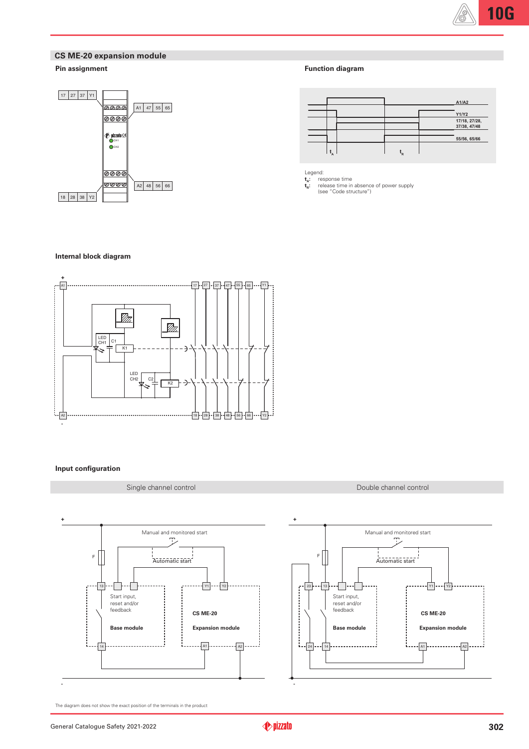## **CS ME-20 expansion module**

## **Pin assignment**



|  | <b>Function diagram</b> |
|--|-------------------------|
|--|-------------------------|

|  |    | A1/A2                         |
|--|----|-------------------------------|
|  |    | Y1/Y2                         |
|  |    | 17/18, 27/28,<br>37/38, 47/48 |
|  |    | 55/56, 65/66                  |
|  | `R |                               |

Legend:

**t A t R :** response time **:** release time in absence of power supply (see "Code structure")

#### **Internal block diagram**



#### **Input configuration**

### Single channel control and Double channel control Double channel control



**+** Manual and monitored start  $F$ Automatic start  $-23$  $\sqrt{13}$  $\cdot \Box$  $\sqrt{2}$  $Y1$   $Y2$ **Expansion module**<br> **Base module**<br> **Expansion module**<br> **Expansion module**<br> **Expansion module**<br> **Expansion module**<br> **Expansion module**<br> **Expansion module**<br> **Expansion module**<br> **Expansion module**<br> **Expansion module**<br> **Expans** Start input, reset and/or feedback **CS ME-20 CS ME-20** ŧ.  $A1$ 24 14 A2 **-**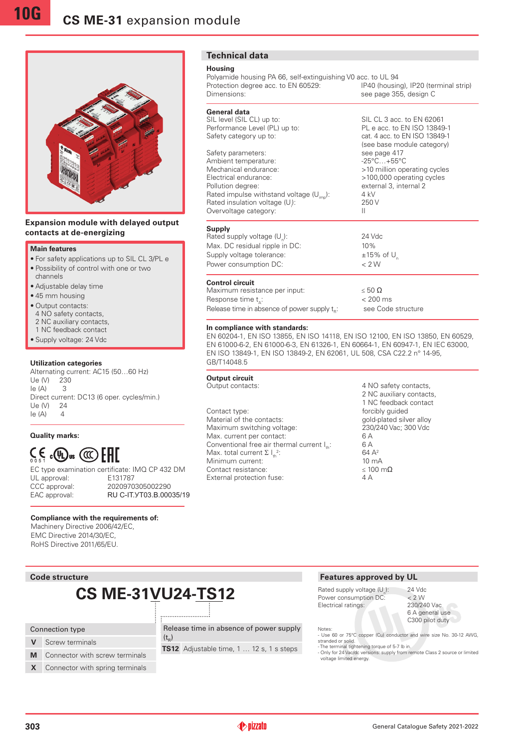

### **Expansion module with delayed output contacts at de-energizing**

#### **Main features**

- •For safety applications up to SIL CL 3/PL e •Possibility of control with one or two
- channels
- •Adjustable delay time
- •45 mm housing
- •Output contacts:
- 4 NO safety contacts, 2 NC auxiliary contacts,
- 1 NC feedback contact
- •Supply voltage: 24 Vdc

#### **Utilization categories**

Alternating current: AC15 (50…60 Hz) Ue (V) 230 Ie (A) 3 Direct current: DC13 (6 oper. cycles/min.) Ue (V) 24  $le (A)$  4

**Quality marks:**

# $\zeta$ ,  $\zeta$   $\omega$   $\omega$   $\zeta$   $\zeta$

UL approval: E131787 CCC approval: 2020970305002290

EC type examination certificate: IMQ CP 432 DM EAC approval: RU C-IT. YT03.B.00035/19

#### **Compliance with the requirements of:**

Machinery Directive 2006/42/EC, EMC Directive 2014/30/EC, RoHS Directive 2011/65/EU.

# **CS ME-31VU24-TS12**

## Connection type

- **V** Screw terminals
- **M** Connector with screw terminals

**X** Connector with spring terminals

## **Technical data**

#### **Housing**

Polyamide housing PA 66, self-extinguishing V0 acc. to UL 94<br>Protection degree acc. to EN 60529: [P40 (housing), IP20 (terminal strip) Protection degree acc. to EN 60529: Dimensions: See page 355, design C

## **General data**<br>SIL level (SIL CL) up to:

Performance Level (PL) up to: Safety category up to: cat. 4 acc. to EN ISO 13849-1

Safety parameters: see page 417<br>Ambient temperature: see page 417<br>-25°C...+55°C Ambient temperature:<br>Mechanical endurance: Mechanical endurance:  $\frac{10}{2}$  >10 million operating cycles<br>Electrical endurance:  $\frac{100,000}{2}$  >100,000 operating cycles Pollution degree: external 3, internal 2 Rated impulse withstand voltage  $(U_{im})$ : 4 kV Rated insulation voltage (U<sub>i</sub>): Overvoltage category: II

#### **Supply**

Rated supply voltage  $(U_{n})$ : Max. DC residual ripple in DC: 10% Supply voltage tolerance:  $\pm 15\%$  of U<sub>n</sub><br>Power consumption DC:  $\lt 2 \text{ W}$ Power consumption DC:

### **Control circuit**

Maximum resistance per input:  $\leq 50 \Omega$ Response time t.:  $< 200$  ms Release time in absence of power supply  $t_{n}$ : see Code structure

#### **In compliance with standards:**

EN 60204-1, EN ISO 13855, EN ISO 14118, EN ISO 12100, EN ISO 13850, EN 60529, EN 61000-6-2, EN 61000-6-3, EN 61326-1, EN 60664-1, EN 60947-1, EN IEC 63000, EN ISO 13849-1, EN ISO 13849-2, EN 62061, UL 508, CSA C22.2 n° 14-95, GB/T14048.5

## **Output circuit**<br>Output contacts:

Contact type:  $\qquad \qquad$  forcibly guided Material of the contacts: gold-plated silver alloy<br>
Maximum switching voltage: 230/240 Vac; 300 Vdc Maximum switching voltage: Max. current per contact: 6 A<br>Conventional free air thermal current l.: 6 A Conventional free air thermal current  $I_{\ldots}$ : Max. total current  $\Sigma I_{\text{th}}^2$ Minimum current:  $\frac{10}{10}$  mA Contact resistance:  $\leq 100 \text{ m}\Omega$ External protection fuse: 4 A

# 4 NO safety contacts, 2 NC auxiliary contacts, 1 NC feedback contact 64 A<sup>2</sup>

SIL CL 3 acc. to EN 62061<br>PL e acc. to EN ISO 13849-1

(see base module category)

>100,000 operating cycles

): 250 V

): 24 Vdc

Power consumption DC:  $\leq 2 \text{ W}$ <br>Electrical ratings: 230/240 Vac Electrical ratings: 6 A general use C300 pilot duty Notes: - Use 60 or 75°C copper (Cu) conductor and wire size No. 30-12 AWG, stranded or solid. - The terminal tightening torque of 5-7 lb in. - Only for 24 Vac/dc versions: supply from remote Class 2 source or limited voltage limited energy. Release time in absence of power supply



 $(t_{\rm R})$ **TS12** Adjustable time, 1 … 12 s, 1 s steps

## **Code structure Features approved by UL Code structures approved by UL**

Rated supply voltage  $(U)$ : ): 24 Vdc